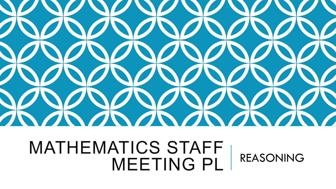

### MATHEMATICS STAFF MEETING PL REASONING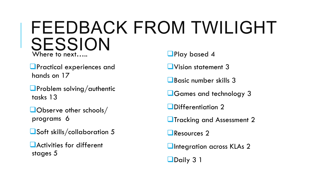#### FEEDBACK FROM TWILIGHT SESSION Where to next..... **Q**Play based 4

**<u>L</u>Practical experiences and** hands on 17

 $\Box$ **Problem solving/authentic** tasks 13

 $\square$ Observe other schools/ programs 6

 $\Box$ Soft skills/collaboration 5

 $\Box$  Activities for different stages 5

**L**Vision statement 3

 $\Box$ Basic number skills 3

**L**Games and technology 3

 $\Box$ Differentiation 2

**L**Tracking and Assessment 2

 $\Box$ Resources 2

**QIntegration across KLAs 2** 

Daily 3 1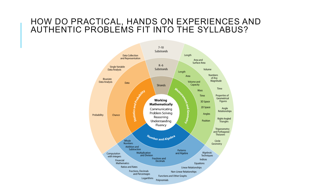#### HOW DO PRACTICAL, HANDS ON EXPERIENCES AND AUTHENTIC PROBLEMS FIT INTO THE SYLLABUS?

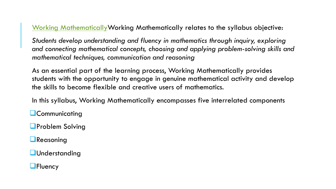Working MathematicallyWorking Mathematically relates to the syllabus objective:

*Students develop understanding and fluency in mathematics through inquiry, exploring and connecting mathematical concepts, choosing and applying problem-solving skills and mathematical techniques, communication and reasoning*

As an essential part of the learning process, Working Mathematically provides students with the opportunity to engage in genuine mathematical activity and develop the skills to become flexible and creative users of mathematics.

In this syllabus, Working Mathematically encompasses five interrelated components

**L**Communicating

**Q**Problem Solving

 $\Box$ Reasoning

**L**Understanding

**L**Fluency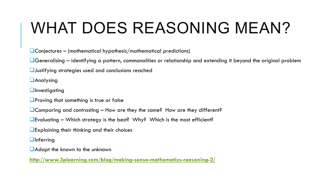## WHAT DOES REASONING MEAN?

 $\Box$ Conjectures – (mathematical hypothesis/mathematical predictions)

 $\Box$ Generalising – identifying a pattern, commonalities or relationship and extending it beyond the original problem

 $\Box$  Justifying strategies used and conclusions reached

**L**Analysing

 $\Box$ Investigating

 $\Box$ Proving that something is true or false

 $\Box$  Comparing and contrasting – How are they the same? How are they different?

**L**Evaluating – Which strategy is the best? Why? Which is the most efficient?

 $\Box$ Explaining their thinking and their choices

 $\Box$ Inferring

 $\Box$ Adapt the known to the unknown

**http://www.3plearning.com/blog/making-sense-mathematics-reasoning-2/**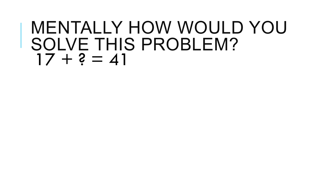### MENTALLY HOW WOULD YOU SOLVE THIS PROBLEM?  $17 + ? = 41$